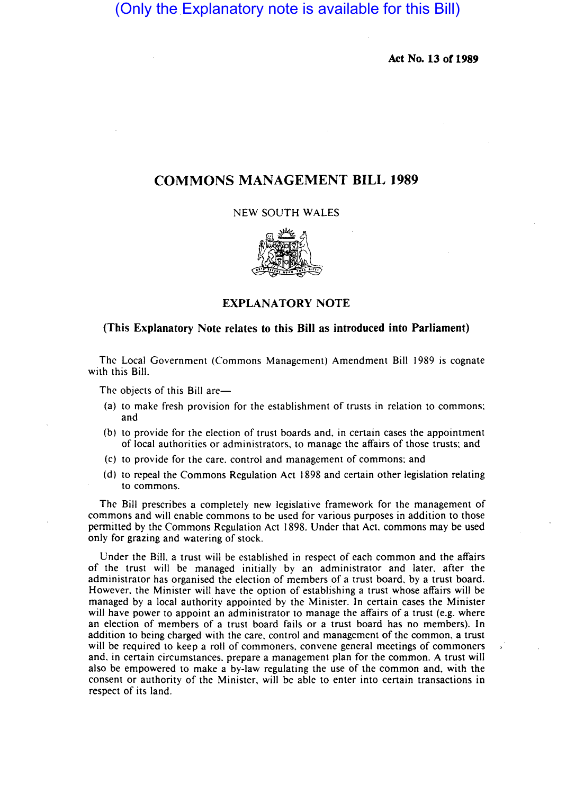(Only the Explanatory note is available for this Bill)

Act No. 13 or 1989

# COMMONS MANAGEMENT BILL 1989

NEW SOUTH WALES



EXPLANATORY NOTE

# (This Explanatory Note relates to this Bill as introduced into Parliament)

The Local Government (Commons Management) Amendment Bill 1989 is cognate with this Bill.

The objects of this Bill are-

- (a) to make fresh provision for the establishment of trusts in relation to commons; and
- (b) to provide for the election of trust boards and. in certain cases the appointment of local authorities or administrators. to manage the affairs of those trusts; and
- (c) to provide for the care. control and management of commons; and
- (d) to repeal the Commons Regulation Act 1898 and certain other legislation relating to commons.

The Bill prescribes a completely new legislative framework for the management of commons and will enable commons to be used for various purposes in addition to those permitted by the Commons Regulation Act 1898. Under that Act. commons may be used only for grazing and watering of stock.

Under the Bill. a trust will be established in respect of each common and the affairs of the trust will be managed initially by an administrator and later. after the administrator has organised the election of members of a trust board. by a trust board. However. the Minister will have the option of establishing a trust whose affairs will be managed by a local authority appointed by the Minister. In certain cases the Minister will have power to appoint an administrator to manage the affairs of a trust (e.g. where an election of members of a trust board fails or a trust board has no members). In addition to being charged with the care. control and management of the common. a trust will be required to keep a roll of commoners. convene general meetings of commoners and. in certain circumstances. prepare a management plan for the common. A trust will also be empowered to make a by-law regulating the use of the common and, with the consent or authority of the Minister, will be able to enter into certain transactions in respect of its land.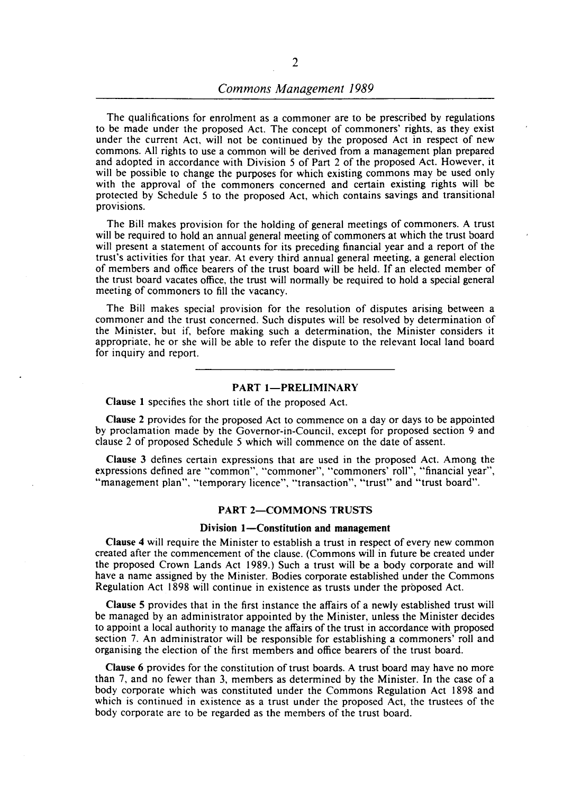# *Commons Management 1989*

The qualifications for enrolment as a commoner are to be prescribed by regulations to be made under the proposed Act. The concept of commoners' rights, as they exist under the current Act. will not be continued by the proposed Act in respect of new commons. All rights to use a common will be derived from a management plan prepared and adopted in accordance with Division 5 of Part 2 of the proposed Act. However, it will be possible to change the purposes for which existing commons may be used only with the approval of the commoners concerned and certain existing rights will be protected by Schedule 5 to the proposed Act, which contains savings and transitional provisions.

The Bill makes provision for the holding of general meetings of commoners. A trust will be required to hold an annual general meeting of commoners at which the trust board will present a statement of accounts for its preceding financial year and a report of the trust's activities for that year. At every third annual general meeting, a general election of members and office bearers of the trust board will be held. If an elected member of the trust board vacates office, the trust will normally be required to hold a special general meeting of commoners to fill the vacancy.

The Bill makes special provision for the resolution of disputes arising between a commoner and the trust concerned. Such disputes will be resolved by determination of the Minister. but if, before making such a determination, the Minister considers it appropriate, he or she will be able to refer the dispute to the relevant local land board for inquiry and report.

## PART 1-PRELIMINARY

Clause I specifies the short title of the proposed Act.

Clause 2 provides for the proposed Act to commence on a day or days to be appointed by proclamation made by the Governor-in-Council, except for proposed section 9 and clause 2 of proposed Schedule 5 which will commence on the date of assent.

Clause 3 defines certain expressions that are used in the proposed Act. Among the expressions defined are "common", "commoner", "commoners' roll", "financial year", "management plan", "temporary licence", "transaction", "trust" and "trust board".

#### PART 2-COMMONS TRUSTS

#### Division 1-Constitution and management

Clause 4 will require the Minister to establish a trust in respect of every new common created after the commencement of the clause. (Commons will in future be created under the proposed Crown Lands Act 1989.) Such a trust will be a body corporate and will have a name assigned by the Minister. Bodies corporate established under the Commons Regulation Act 1898 will continue in existence as trusts under the proposed Act.

Clause 5 provides that in the first instance the affairs of a newly established trust will be managed by an administrator appointed by the Minister, unless the Minister decides to appoint a local authority to manage the affairs of the trust in accordance with proposed section 7. An administrator will be responsible for establishing a commoners' roll and organising the election of the first members and office bearers of the trust board.

Clause 6 provides for the constitution of trust boards. A trust board may have no more than 7, and no fewer than 3, members as determined by the Minister. In the case of a body corporate which was constituted under the Commons Regulation Act 1898 and which is continued in existence as a trust under the proposed Act, the trustees of the body corporate are to be regarded as the members of the trust board.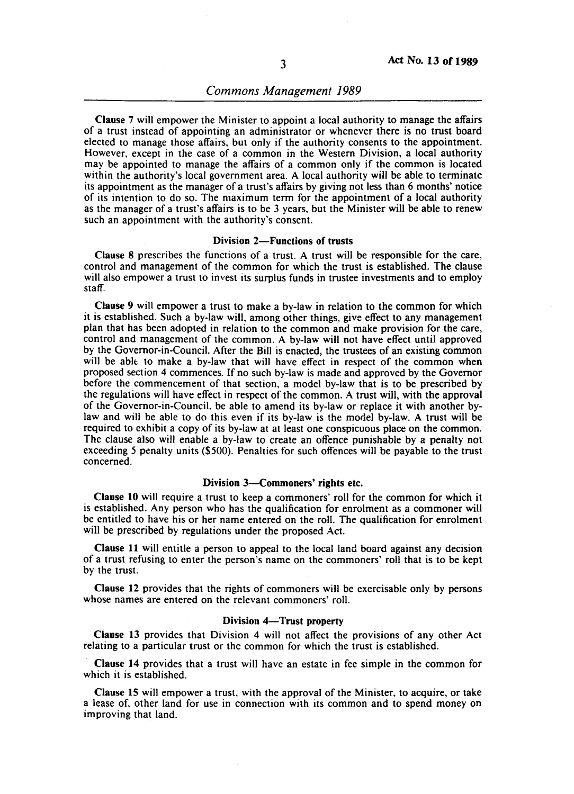# *Commons Management 1989*

Clause 7 will empower the Minister to appoint a local authority to manage the affairs of a trust instead of appointing an administrator or whenever there is no trust board elected to manage those affairs, but only if the authority consents to the appointment. However, except in the case of a common in the Western Division, a local authority may be appointed to manage the affairs of a common only if the common is located within the authority's local government area. A local authority will be able to terminate its appointment as the manager of a trust's affairs by giving not less than 6 months' notice of its intention to do so. The maximum term for the appointment of a local authority as the manager of a trust's affairs is to be 3 years, but the Minister will be able to renew such an appointment with the authority's consent.

#### Division 2-Functions of trusts

Clause 8 prescribes the functions of a trust. A trust will be responsible for the care, control and management of the common for which the trust is established. The clause will also empower a trust to invest its surplus funds in trustee investments and to employ staff.

Clause 9 will empower a trust to make a by-law in relation to the common for which it is established. Such a by-law will, among other things, give effect to any management plan that has been adopted in relation to the common and make provision for the care, control and management of the common. A by-law will not have effect until approved by the Governor-in-Council. After the Bill is enacted, the trustees of an existing common will be able to make a by-law that will have effect in respect of the common when proposed section 4 commences. If no such by-law is made and approved by the Governor before the commencement of that section, a model by-law that is to be prescribed by the regulations will have effect in respect of the common. A trust will, with the approval of the Governor-in-Council, be able to amend its by-law or replace it with another bylaw and will be able to do this even if its by-law is the model by-law. A trust will be required to exhibit a copy of its by-law at at least one conspicuous place on the common. The clause also will enable a by-law to create an offence punishable by a penalty not exceeding 5 penalty units (\$500). Penalties for such offences will be payable to the trust concerned.

### Division 3-Commoners' rights etc.

Clause 10 will require a trust to keep a commoners' roll for the common for which it is established. Any person who has the qualification for enrolment as a commoner will be entitled to have his or her name entered on the roll. The qualification for enrolment will be prescribed by regulations under the proposed Act.

Clause 11 will entitle a person to appeal to the local land board against any decision of a trust refusing to enter the person's name on the commoners' roll that is to be kept by the trust.

Clause 12 provides that the rights of commoners will be exercisable only by persons whose names are entered on the relevant commoners' roll.

### Division 4-Trust property

Clause 13 provides that Division 4 will not affect the provisions of any other Act relating to a particular trust or the common for which the trust is established.

Clause 14 provides that a trust will have an estate in fee simple in the common for which it is established.

Clause 15 will empower a trust, with the approval of the Minister, to acquire, or take a lease of, other land for use in connection with its common and to spend money on improving that land.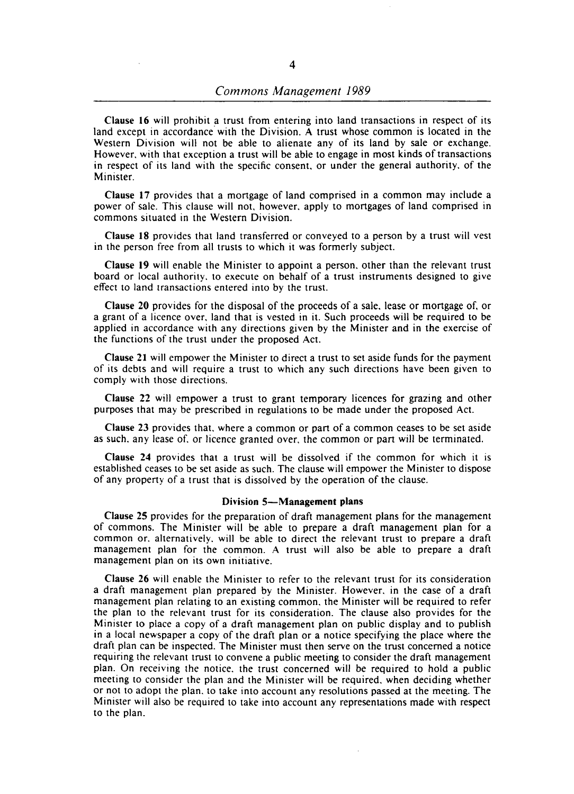Clause 16 will prohibit a trust from entering into land transactions in respect of its land except in accordance with the Division. A trust whose common is located in the Western Division will not be able to alienate any of its land by sale or exchange. However. with that exception a trust will be able to engage in most kinds of transactions in respect of its land with the specific consent. or under the general authority. of the Minister.

Clause 17 provides that a mortgage of land comprised in a common may include a power of sale. This clause will not. however. apply to mortgages of land comprised in commons situated in the Western Division.

Clause 18 provides that land transferred or conveyed to a person by a trust will vest in the person free from all trusts to which it was formerly subject.

Clause 19 will enable the Minister to appoint a person. other than the relevant trust board or local authority. to execute on behalf of a trust instruments designed to give effect to land transactions entered into by the trust.

Clause 20 provides for the disposal of the proceeds of a sale. lease or mortgage of. or a grant of a licence over. land that is vested in it. Such proceeds will be required to be applied in accordance with any directions given by the Minister and in the exercise of the functions of the trust under the proposed Act.

Clause 21 will empower the Minister to direct a trust to set aside funds for the payment of its debts and will require a trust to which any such directions have been given to comply with those directions.

Clause 22 will empower a trust to grant temporary licences for grazing and other purposes that may be prescribed in regulations to be made under the proposed Act.

Clause 23 provides that. where a common or part of a common ceases to be set aside as such. any lease of. or licence granted over. the common or part will be terminated.

Clause 24 provides that a trust will be dissolved if the common for which it is established ceases to be set aside as such. The clause will empower the Minister to dispose of any property of a trust that is dissolved by the operation of the clause.

### Division 5-Management plans

Clause 25 provides for the preparation of draft management plans for the management of commons. The Minister will be able to prepare a draft management plan for a common or. alternatively. will be able to direct the relevant trust to prepare a draft management plan for the common. A trust will also be able to prepare a draft management plan on its own initiative.

Clause 26 will enable the Minister to refer to the relevant trust for its consideration a draft management plan prepared by the Minister. However. in the case of a draft management plan relating to an existing common. the Minister will be required to refer the plan to the relevant trust for its consideration. The clause also provides for the Minister to place a copy of a draft management plan on public display and to publish in a local newspaper a copy of the draft plan or a notice specifying the place where the draft plan can be inspected. The Minister must then serve on the trust concerned a notice requiring the relevant trust to convene a public meeting to consider the draft management plan. On receiving the notice. the trust concerned will be required to hold a public meeting to consider the plan and the Minister will be required. when deciding whether or not to adopt the plan. to take into account any resolutions passed at the meeting. The Minister will also be required to take into account any representations made with respect to the plan.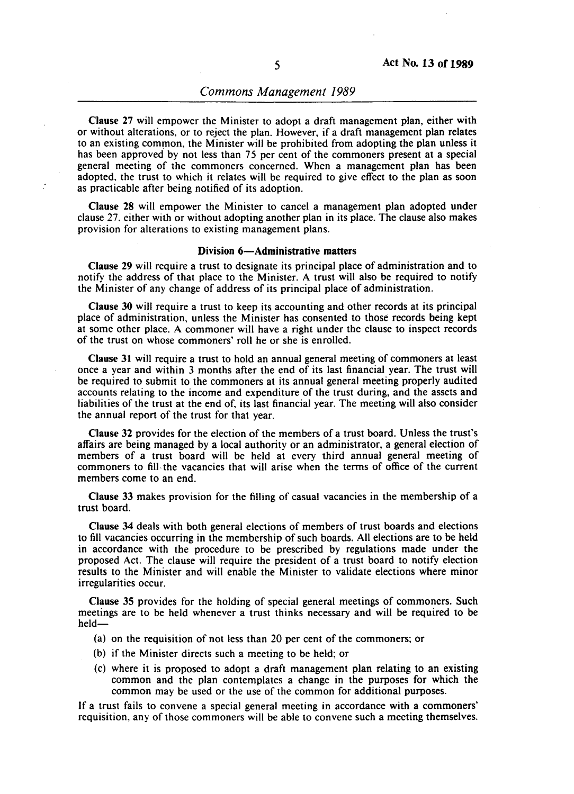Clause 27 will empower the Minister to adopt a draft management plan, either with or without alterations, or to reject the plan. However, if a draft management plan relates to an existing common, the Minister will be prohibited from adopting the plan unless it has been approved by not less than 75 per cent of the commoners present at a special general meeting of the commoners concerned. When a management plan has been adopted, the trust to which it relates will be required to give effect to the plan as soon as practicable after being notified of its adoption.

Clause 28 will empower the Minister to cancel a management plan adopted under clause 27. either with or without adopting another plan in its place. The clause also makes provision for alterations to existing management plans.

# Division 6-Administrative matters

Clause 29 will require a trust to designate its principal place of administration and to notify the address of that place to the Minister. A trust will also be required to notify the Minister of any change of address of its principal place of administration.

Clause 30 will require a trust to keep its accounting and other records at its principal place of administration, unless the Minister has consented to those records being kept at some other place. A commoner will have a right under the clause to inspect records of the trust on whose commoners' roll he or she is enrolled.

Clause 31 will require a trust to hold an annual general meeting of commoners at least once a year and within 3 months after the end of its last financial year. The trust will be required to submit to the commoners at its annual general meeting properly audited accounts relating to the income and expenditure of the trust during, and the assets and liabilities of the trust at the end of, its last financial year. The meeting will also consider the annual report of the trust for that year.

Clause 32 provides for the election of the members of a trust board. Unless the trust's affairs are being managed by a local authority or an administrator, a general election of members of a trust board will be held at every third annual general meeting of commoners to fill- the vacancies that will arise when the terms of office of the current members come to an end.

Clause 33 makes provision for the filling of casual vacancies in the membership of a trust board.

Clause 34 deals with both general elections of members of trust boards and elections to fill vacancies occurring in the membership of such boards. All elections are to be held in accordance with the procedure to be prescribed by regulations made under the proposed Act. The clause will require the president of a trust board to notify election results to the Minister and will enable the Minister to validate elections where minor irregularities occur.

Clause 35 provides for the holding of special general meetings of commoners. Such meetings are to be held whenever a trust thinks necessary and will be required to be held-

- (a) on the requisition of not less than 20 per cent of the commoners; or
- (b) if the Minister directs such a meeting to be held; or
- (c) where it is proposed to adopt a draft management plan relating to an existing common and the plan contemplates a change in the purposes for which the common may be used or the use of the common for additional purposes.

If a trust fails to convene a special general meeting in accordance with a commoners' requisition, any of those commoners will be able to convene such a meeting themselves.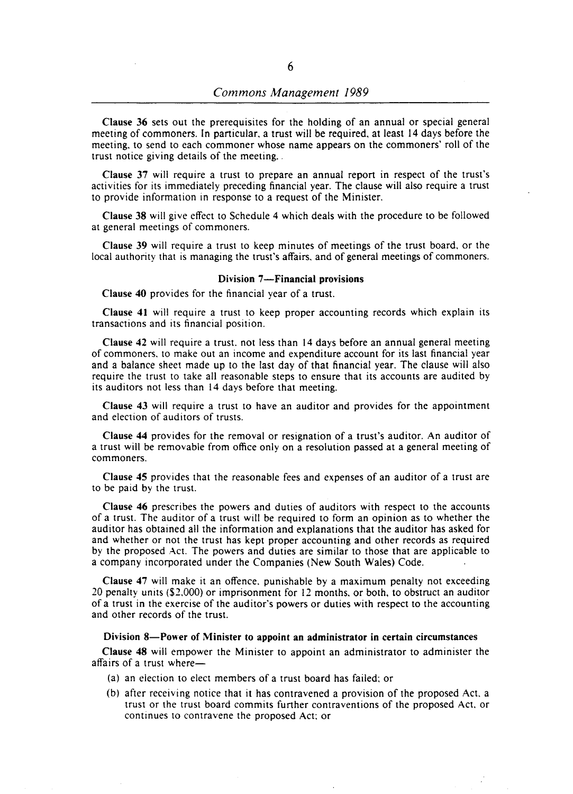Clause 36 sets out the prerequisites for the holding of an annual or special general meeting of commoners. In particular. a trust will be required. at least 14 days before the meeting. to send to each commoner whose name appears on the commoners' roll of the trust notice giving details of the meeting.

Clause 37 will require a trust to prepare an annual report in respect of the trust's activities for its immediately preceding financial year. The clause will also require a trust to provide information in response to a request of the Minister.

Clause 38 will give effect to Schedule 4 which deals with the procedure to be followed at general meetings of commoners.

Clause 39 will require a trust to keep minutes of meetings of the trust board. or the local authority that is managing the trust's affairs. and of general meetings of commoners.

#### Division 7-Financial provisions

Clause 40 provides for the financial year of a trust.

Clause 41 will require a trust to keep proper accounting records which explain its transactions and its financial position.

Clause 42 will require a trust. not less than 14 days before an annual general meeting of commoners. to make out an income and expenditure account for its last financial year and a balance sheet made up to the last day of that financial year. The clause will also require the trust to take all reasonable steps to ensure that its accounts are audited by its auditors not less than 14 days before that meeting.

Clause 43 will require a trust to have an auditor and provides for the appointment and election of auditors of trusts.

Clause 44 provides for the removal or resignation of a trust's auditor. An auditor of a trust will be removable from office only on a resolution passed at a general meeting of commoners.

Clause 45 provides that the reasonable fees and expenses of an auditor of a trust are to be paid by the trust.

Clause 46 prescribes the powers and duties of auditors with respect to the accounts of a trust. The auditor of a trust will be required to form an opinion as to whether the auditor has obtained all the information and explanations that the auditor has asked for and whether or not the trust has kept proper accounting and other records as required by the proposed Act. The powers and duties are similar to those that are applicable to a company incorporated under the Companies (New South Wales) Code.

Clause 47 will make it an offence. punishable by a maximum penalty not exceeding 20 penalty units (\$2.000) or imprisonment for 12 months. or both. to obstruct an auditor of a trust in the exercise of the auditor's powers or duties with respect to the accounting and other records of the trust.

#### Division 8-Power of Minister to appoint an administrator in certain circumstances

Clause 48 will empower the Minister to appoint an administrator to administer the affairs of a trust where-

- (a) an election to elect members of a trust board has failed; or
- (b) after receiving notice that it has contravened a provision of the proposed Act. a trust or the trust board commits further contraventions of the proposed Act. or continues to contravene the proposed Act; or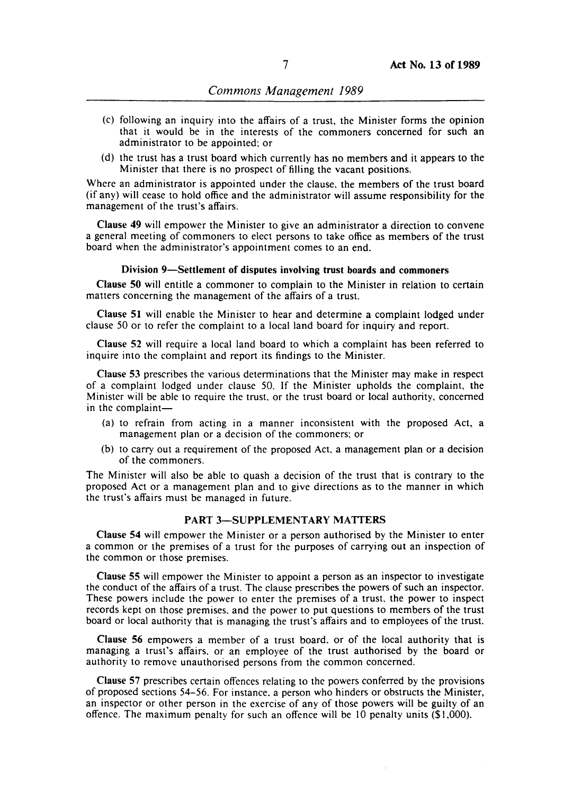- (c) following an inquiry into the affairs of a trust, the Minister forms the opinion that it would be in the interests of the commoners concerned for such an administrator to be appointed; or
- (d) the trust has a trust board which currently has no members and it appears to the Minister that there is no prospect of filling the vacant positions.

Where an administrator is appointed under the clause, the members of the trust board (if any) will cease to hold office and the administrator will assume responsibility for the management of the trust's affairs.

Clause 49 will empower the Minister to give an administrator a direction to convene a general meeting of commoners to elect persons to take office as members of the trust board when the administrator's appointment comes to an end.

## Division 9-Settlement of disputes involving trust boards and commoners

Clause 50 will entitle a commoner to complain to the Minister in relation to certain matters concerning the management of the affairs of a trust.

Clause 51 will enable the Minister to hear and determine a complaint lodged under clause 50 or to refer the complaint to a local land board for inquiry and report.

Clause 52 will require a local land board to which a complaint has been referred to inquire into the complaint and report its findings to the Minister.

Clause 53 prescribes the various determinations that the Minister may make in respect of a complaint lodged under clause 50. If the Minister upholds the complaint, the Minister will be able to require the trust, or the trust board or local authority, concerned in the complaint-

- (a) to refrain from acting in a manner inconsistent with the proposed Act, a management plan or a decision of the commoners; or
- (b) to carry out a requirement of the proposed Act, a management plan or a decision of the commoners.

The Minister will also be able to quash a decision of the trust that is contrary to the proposed Act or a management plan and to give directions as to the manner in which the trust's affairs must be managed in future.

#### PART 3-SUPPLEMENTARY MATTERS

Clause 54 will empower the Minister or a person authorised by the Minister to enter a common or the premises of a trust for the purposes of carrying out an inspection of the common or those premises.

Clause 55 will empower the Minister to appoint a person as an inspector to investigate the conduct of the affairs of a trust. The clause prescribes the powers of such an inspector. These powers include the power to enter the premises of a trust, the power to inspect records kept on those premises. and the power to put questions to members of the trust board or local authority that is managing the trust's affairs and to employees of the trust.

Clause 56 empowers a member of a trust board. or of the local authority that is managing a trust's affairs. or an employee of the trust authorised by the board or authority to remove unauthorised persons from the common concerned.

Clause 57 prescribes certain offences relating to the powers conferred by the provisions of proposed sections 54-56. For instance. a person who hinders or obstructs the Minister, an inspector or other person in the exercise of any of those powers will be guilty of an offence. The maximum penalty for such an offence will be 10 penalty units (\$1,000).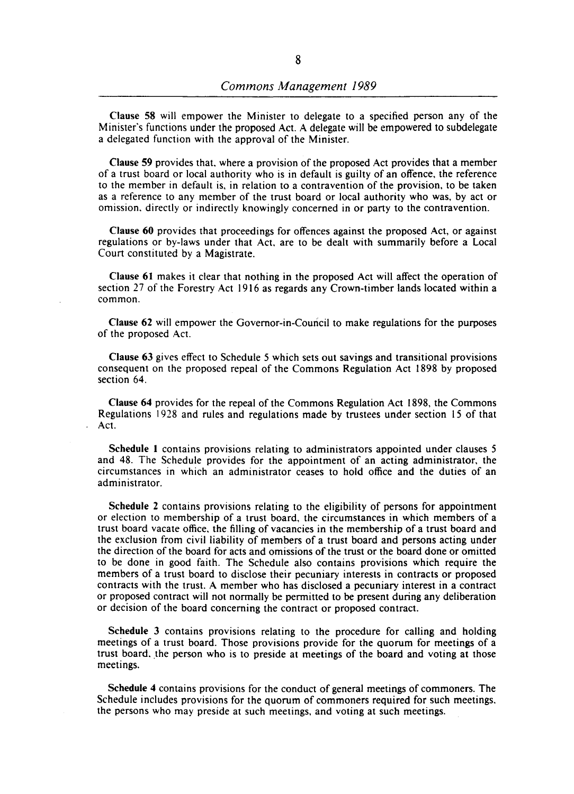Clause 58 will empower the Minister to delegate to a specified person any of the Minister's functions under the proposed Act. A delegate will be empowered to subdelegate a delegated function with the approval of the Minister.

Clause 59 provides that. where a provision of the proposed Act provides that a member of a trust board or local authority who is in default is guilty of an offence. the reference to the member in default is, in relation to a contravention of the provision, to be taken as a reference to any member of the trust board or local authority who was, by act or omission. directly or indirectly knowingly concerned in or party to the contravention.

Clause 60 provides that proceedings for offences against the proposed Act, or against regulations or by-laws under that Act. are to be dealt with summarily before a Local Court constituted by a Magistrate.

Clause 61 makes it clear that nothing in the proposed Act will affect the operation of section 27 of the Forestry Act 1916 as regards any Crown-timber lands located within a common.

Clause 62 will empower the Governor-in-Council to make regulations for the purposes of the proposed Act.

Clause 63 gives effect to Schedule 5 which sets out savings and transitional provisions consequent on the proposed repeal of the Commons Regulation Act 1898 by proposed section 64.

Clause 64 provides for the repeal of the Commons Regulation Act 1898, the Commons Regulations 1928 and rules and regulations made by trustees under section 15 of that Act.

Schedule 1 contains provisions relating to administrators appointed under clauses 5 and 48. The Schedule provides for the appointment of an acting administrator, the circumstances in which an administrator ceases to hold office and the duties of an administrator.

Schedule 2 contains provisions relating to the eligibility of persons for appointment or election to membership of a trust board, the circumstances in which members of a trust board vacate office, the filling of vacancies in the membership of a trust board and the exclusion from civil liability of members of a trust board and persons acting under the direction of the board for acts and omissions of the trust or the board done or omitted to be done in good faith. The Schedule also contains provisions which require the members of a trust board to disclose their pecuniary interests in contracts or proposed contracts with the trust. A member who has disclosed a pecuniary interest in a contract or proposed contract will not normally be permitted to be present during any deliberation or decision of the board concerning the contract or proposed contract.

Schedule 3 contains provisions relating to the procedure for calling and holding meetings of a trust board. Those provisions provide for the quorum for meetings of a trust board, the person who is to preside at meetings of the board and voting at those meetings.

Schedule 4 contains provisions for the conduct of general meetings of commoners. The Schedule includes provisions for the quorum of commoners required for such meetings. the persons who may preside at such meetings, and voting at such meetings.